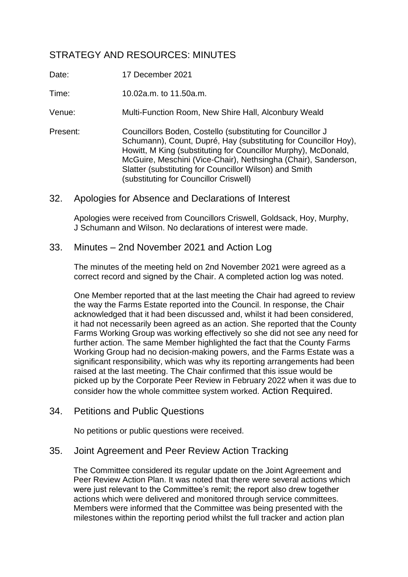# STRATEGY AND RESOURCES: MINUTES

- Date: 17 December 2021
- Time: 10.02a.m. to 11.50a.m.
- Venue: Multi-Function Room, New Shire Hall, Alconbury Weald
- Present: Councillors Boden, Costello (substituting for Councillor J Schumann), Count, Dupré, Hay (substituting for Councillor Hoy), Howitt, M King (substituting for Councillor Murphy), McDonald, McGuire, Meschini (Vice-Chair), Nethsingha (Chair), Sanderson, Slatter (substituting for Councillor Wilson) and Smith (substituting for Councillor Criswell)

## 32. Apologies for Absence and Declarations of Interest

Apologies were received from Councillors Criswell, Goldsack, Hoy, Murphy, J Schumann and Wilson. No declarations of interest were made.

## 33. Minutes – 2nd November 2021 and Action Log

The minutes of the meeting held on 2nd November 2021 were agreed as a correct record and signed by the Chair. A completed action log was noted.

One Member reported that at the last meeting the Chair had agreed to review the way the Farms Estate reported into the Council. In response, the Chair acknowledged that it had been discussed and, whilst it had been considered, it had not necessarily been agreed as an action. She reported that the County Farms Working Group was working effectively so she did not see any need for further action. The same Member highlighted the fact that the County Farms Working Group had no decision-making powers, and the Farms Estate was a significant responsibility, which was why its reporting arrangements had been raised at the last meeting. The Chair confirmed that this issue would be picked up by the Corporate Peer Review in February 2022 when it was due to consider how the whole committee system worked. Action Required.

34. Petitions and Public Questions

No petitions or public questions were received.

## 35. Joint Agreement and Peer Review Action Tracking

The Committee considered its regular update on the Joint Agreement and Peer Review Action Plan. It was noted that there were several actions which were just relevant to the Committee's remit; the report also drew together actions which were delivered and monitored through service committees. Members were informed that the Committee was being presented with the milestones within the reporting period whilst the full tracker and action plan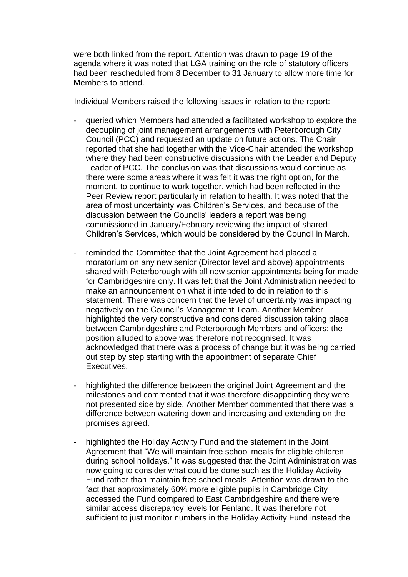were both linked from the report. Attention was drawn to page 19 of the agenda where it was noted that LGA training on the role of statutory officers had been rescheduled from 8 December to 31 January to allow more time for Members to attend.

Individual Members raised the following issues in relation to the report:

- queried which Members had attended a facilitated workshop to explore the decoupling of joint management arrangements with Peterborough City Council (PCC) and requested an update on future actions. The Chair reported that she had together with the Vice-Chair attended the workshop where they had been constructive discussions with the Leader and Deputy Leader of PCC. The conclusion was that discussions would continue as there were some areas where it was felt it was the right option, for the moment, to continue to work together, which had been reflected in the Peer Review report particularly in relation to health. It was noted that the area of most uncertainty was Children's Services, and because of the discussion between the Councils' leaders a report was being commissioned in January/February reviewing the impact of shared Children's Services, which would be considered by the Council in March.
- reminded the Committee that the Joint Agreement had placed a moratorium on any new senior (Director level and above) appointments shared with Peterborough with all new senior appointments being for made for Cambridgeshire only. It was felt that the Joint Administration needed to make an announcement on what it intended to do in relation to this statement. There was concern that the level of uncertainty was impacting negatively on the Council's Management Team. Another Member highlighted the very constructive and considered discussion taking place between Cambridgeshire and Peterborough Members and officers; the position alluded to above was therefore not recognised. It was acknowledged that there was a process of change but it was being carried out step by step starting with the appointment of separate Chief Executives.
- highlighted the difference between the original Joint Agreement and the milestones and commented that it was therefore disappointing they were not presented side by side. Another Member commented that there was a difference between watering down and increasing and extending on the promises agreed.
- highlighted the Holiday Activity Fund and the statement in the Joint Agreement that "We will maintain free school meals for eligible children during school holidays." It was suggested that the Joint Administration was now going to consider what could be done such as the Holiday Activity Fund rather than maintain free school meals. Attention was drawn to the fact that approximately 60% more eligible pupils in Cambridge City accessed the Fund compared to East Cambridgeshire and there were similar access discrepancy levels for Fenland. It was therefore not sufficient to just monitor numbers in the Holiday Activity Fund instead the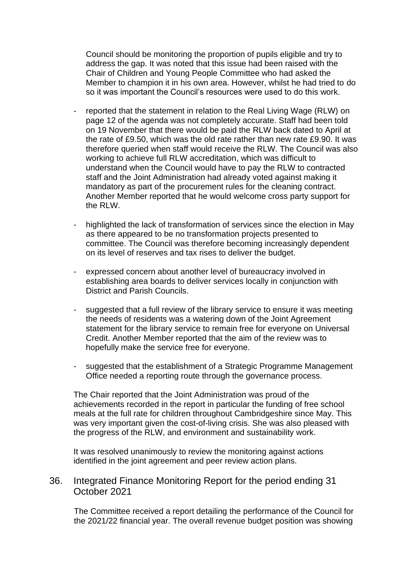Council should be monitoring the proportion of pupils eligible and try to address the gap. It was noted that this issue had been raised with the Chair of Children and Young People Committee who had asked the Member to champion it in his own area. However, whilst he had tried to do so it was important the Council's resources were used to do this work.

- reported that the statement in relation to the Real Living Wage (RLW) on page 12 of the agenda was not completely accurate. Staff had been told on 19 November that there would be paid the RLW back dated to April at the rate of £9.50, which was the old rate rather than new rate £9.90. It was therefore queried when staff would receive the RLW. The Council was also working to achieve full RLW accreditation, which was difficult to understand when the Council would have to pay the RLW to contracted staff and the Joint Administration had already voted against making it mandatory as part of the procurement rules for the cleaning contract. Another Member reported that he would welcome cross party support for the RLW.
- highlighted the lack of transformation of services since the election in May as there appeared to be no transformation projects presented to committee. The Council was therefore becoming increasingly dependent on its level of reserves and tax rises to deliver the budget.
- expressed concern about another level of bureaucracy involved in establishing area boards to deliver services locally in conjunction with District and Parish Councils.
- suggested that a full review of the library service to ensure it was meeting the needs of residents was a watering down of the Joint Agreement statement for the library service to remain free for everyone on Universal Credit. Another Member reported that the aim of the review was to hopefully make the service free for everyone.
- suggested that the establishment of a Strategic Programme Management Office needed a reporting route through the governance process.

The Chair reported that the Joint Administration was proud of the achievements recorded in the report in particular the funding of free school meals at the full rate for children throughout Cambridgeshire since May. This was very important given the cost-of-living crisis. She was also pleased with the progress of the RLW, and environment and sustainability work.

It was resolved unanimously to review the monitoring against actions identified in the joint agreement and peer review action plans.

## 36. Integrated Finance Monitoring Report for the period ending 31 October 2021

The Committee received a report detailing the performance of the Council for the 2021/22 financial year. The overall revenue budget position was showing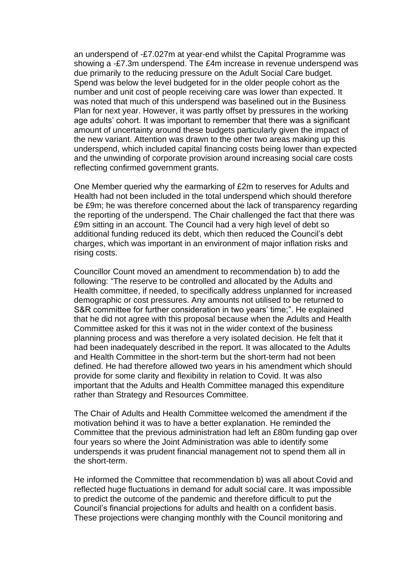an underspend of -£7.027m at year-end whilst the Capital Programme was showing a -£7.3m underspend. The £4m increase in revenue underspend was due primarily to the reducing pressure on the Adult Social Care budget. Spend was below the level budgeted for in the older people cohort as the number and unit cost of people receiving care was lower than expected. It was noted that much of this underspend was baselined out in the Business Plan for next year. However, it was partly offset by pressures in the working age adults' cohort. It was important to remember that there was a significant amount of uncertainty around these budgets particularly given the impact of the new variant. Attention was drawn to the other two areas making up this underspend, which included capital financing costs being lower than expected and the unwinding of corporate provision around increasing social care costs reflecting confirmed government grants.

One Member queried why the earmarking of £2m to reserves for Adults and Health had not been included in the total underspend which should therefore be £9m; he was therefore concerned about the lack of transparency regarding the reporting of the underspend. The Chair challenged the fact that there was £9m sitting in an account. The Council had a very high level of debt so additional funding reduced its debt, which then reduced the Council's debt charges, which was important in an environment of major inflation risks and rising costs.

Councillor Count moved an amendment to recommendation b) to add the following: "The reserve to be controlled and allocated by the Adults and Health committee, if needed, to specifically address unplanned for increased demographic or cost pressures. Any amounts not utilised to be returned to S&R committee for further consideration in two years' time;". He explained that he did not agree with this proposal because when the Adults and Health Committee asked for this it was not in the wider context of the business planning process and was therefore a very isolated decision. He felt that it had been inadequately described in the report. It was allocated to the Adults and Health Committee in the short-term but the short-term had not been defined. He had therefore allowed two years in his amendment which should provide for some clarity and flexibility in relation to Covid. It was also important that the Adults and Health Committee managed this expenditure rather than Strategy and Resources Committee.

The Chair of Adults and Health Committee welcomed the amendment if the motivation behind it was to have a better explanation. He reminded the Committee that the previous administration had left an £80m funding gap over four years so where the Joint Administration was able to identify some underspends it was prudent financial management not to spend them all in the short-term.

He informed the Committee that recommendation b) was all about Covid and reflected huge fluctuations in demand for adult social care. It was impossible to predict the outcome of the pandemic and therefore difficult to put the Council's financial projections for adults and health on a confident basis. These projections were changing monthly with the Council monitoring and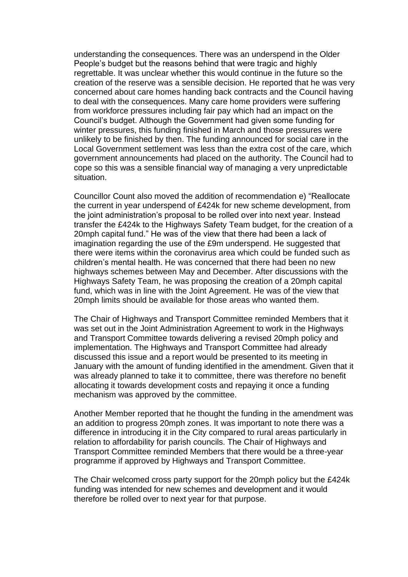understanding the consequences. There was an underspend in the Older People's budget but the reasons behind that were tragic and highly regrettable. It was unclear whether this would continue in the future so the creation of the reserve was a sensible decision. He reported that he was very concerned about care homes handing back contracts and the Council having to deal with the consequences. Many care home providers were suffering from workforce pressures including fair pay which had an impact on the Council's budget. Although the Government had given some funding for winter pressures, this funding finished in March and those pressures were unlikely to be finished by then. The funding announced for social care in the Local Government settlement was less than the extra cost of the care, which government announcements had placed on the authority. The Council had to cope so this was a sensible financial way of managing a very unpredictable situation.

Councillor Count also moved the addition of recommendation e) "Reallocate the current in year underspend of £424k for new scheme development, from the joint administration's proposal to be rolled over into next year. Instead transfer the £424k to the Highways Safety Team budget, for the creation of a 20mph capital fund." He was of the view that there had been a lack of imagination regarding the use of the £9m underspend. He suggested that there were items within the coronavirus area which could be funded such as children's mental health. He was concerned that there had been no new highways schemes between May and December. After discussions with the Highways Safety Team, he was proposing the creation of a 20mph capital fund, which was in line with the Joint Agreement. He was of the view that 20mph limits should be available for those areas who wanted them.

The Chair of Highways and Transport Committee reminded Members that it was set out in the Joint Administration Agreement to work in the Highways and Transport Committee towards delivering a revised 20mph policy and implementation. The Highways and Transport Committee had already discussed this issue and a report would be presented to its meeting in January with the amount of funding identified in the amendment. Given that it was already planned to take it to committee, there was therefore no benefit allocating it towards development costs and repaying it once a funding mechanism was approved by the committee.

Another Member reported that he thought the funding in the amendment was an addition to progress 20mph zones. It was important to note there was a difference in introducing it in the City compared to rural areas particularly in relation to affordability for parish councils. The Chair of Highways and Transport Committee reminded Members that there would be a three-year programme if approved by Highways and Transport Committee.

The Chair welcomed cross party support for the 20mph policy but the £424k funding was intended for new schemes and development and it would therefore be rolled over to next year for that purpose.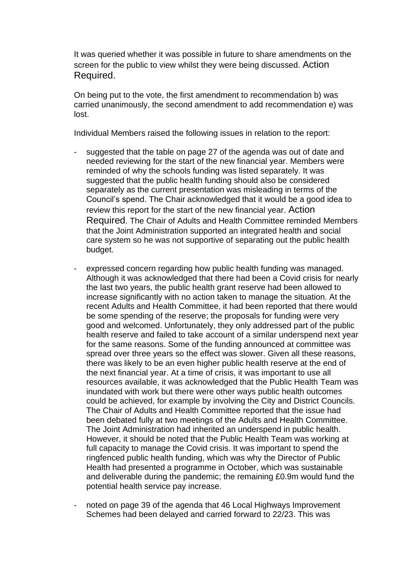It was queried whether it was possible in future to share amendments on the screen for the public to view whilst they were being discussed. Action Required.

On being put to the vote, the first amendment to recommendation b) was carried unanimously, the second amendment to add recommendation e) was lost.

Individual Members raised the following issues in relation to the report:

- suggested that the table on page 27 of the agenda was out of date and needed reviewing for the start of the new financial year. Members were reminded of why the schools funding was listed separately. It was suggested that the public health funding should also be considered separately as the current presentation was misleading in terms of the Council's spend. The Chair acknowledged that it would be a good idea to review this report for the start of the new financial year. Action Required. The Chair of Adults and Health Committee reminded Members that the Joint Administration supported an integrated health and social care system so he was not supportive of separating out the public health budget.
- expressed concern regarding how public health funding was managed. Although it was acknowledged that there had been a Covid crisis for nearly the last two years, the public health grant reserve had been allowed to increase significantly with no action taken to manage the situation. At the recent Adults and Health Committee, it had been reported that there would be some spending of the reserve; the proposals for funding were very good and welcomed. Unfortunately, they only addressed part of the public health reserve and failed to take account of a similar underspend next year for the same reasons. Some of the funding announced at committee was spread over three years so the effect was slower. Given all these reasons, there was likely to be an even higher public health reserve at the end of the next financial year. At a time of crisis, it was important to use all resources available, it was acknowledged that the Public Health Team was inundated with work but there were other ways public health outcomes could be achieved, for example by involving the City and District Councils. The Chair of Adults and Health Committee reported that the issue had been debated fully at two meetings of the Adults and Health Committee. The Joint Administration had inherited an underspend in public health. However, it should be noted that the Public Health Team was working at full capacity to manage the Covid crisis. It was important to spend the ringfenced public health funding, which was why the Director of Public Health had presented a programme in October, which was sustainable and deliverable during the pandemic; the remaining £0.9m would fund the potential health service pay increase.
- noted on page 39 of the agenda that 46 Local Highways Improvement Schemes had been delayed and carried forward to 22/23. This was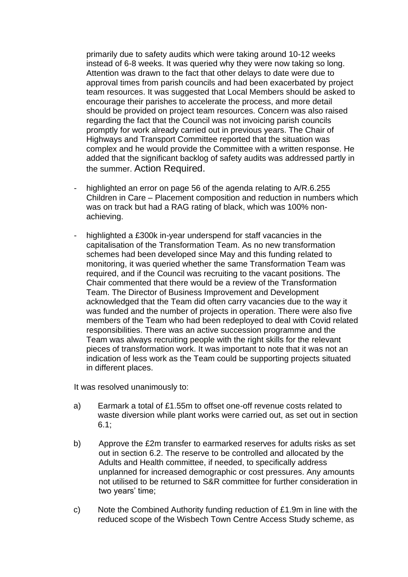primarily due to safety audits which were taking around 10-12 weeks instead of 6-8 weeks. It was queried why they were now taking so long. Attention was drawn to the fact that other delays to date were due to approval times from parish councils and had been exacerbated by project team resources. It was suggested that Local Members should be asked to encourage their parishes to accelerate the process, and more detail should be provided on project team resources. Concern was also raised regarding the fact that the Council was not invoicing parish councils promptly for work already carried out in previous years. The Chair of Highways and Transport Committee reported that the situation was complex and he would provide the Committee with a written response. He added that the significant backlog of safety audits was addressed partly in the summer. Action Required.

- highlighted an error on page 56 of the agenda relating to A/R.6.255 Children in Care – Placement composition and reduction in numbers which was on track but had a RAG rating of black, which was 100% nonachieving.
- highlighted a £300k in-year underspend for staff vacancies in the capitalisation of the Transformation Team. As no new transformation schemes had been developed since May and this funding related to monitoring, it was queried whether the same Transformation Team was required, and if the Council was recruiting to the vacant positions. The Chair commented that there would be a review of the Transformation Team. The Director of Business Improvement and Development acknowledged that the Team did often carry vacancies due to the way it was funded and the number of projects in operation. There were also five members of the Team who had been redeployed to deal with Covid related responsibilities. There was an active succession programme and the Team was always recruiting people with the right skills for the relevant pieces of transformation work. It was important to note that it was not an indication of less work as the Team could be supporting projects situated in different places.

It was resolved unanimously to:

- a) Earmark a total of £1.55m to offset one-off revenue costs related to waste diversion while plant works were carried out, as set out in section 6.1;
- b) Approve the £2m transfer to earmarked reserves for adults risks as set out in section 6.2. The reserve to be controlled and allocated by the Adults and Health committee, if needed, to specifically address unplanned for increased demographic or cost pressures. Any amounts not utilised to be returned to S&R committee for further consideration in two years' time;
- c) Note the Combined Authority funding reduction of £1.9m in line with the reduced scope of the Wisbech Town Centre Access Study scheme, as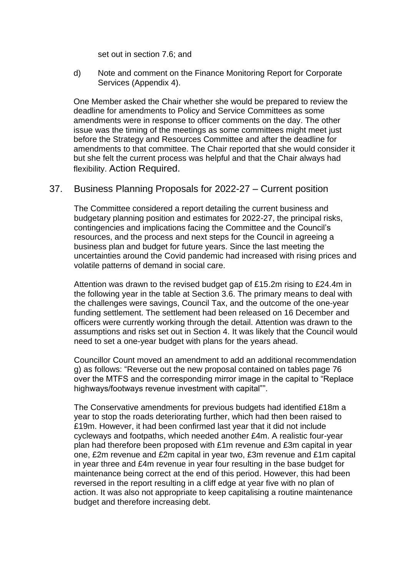set out in section 7.6; and

d) Note and comment on the Finance Monitoring Report for Corporate Services (Appendix 4).

One Member asked the Chair whether she would be prepared to review the deadline for amendments to Policy and Service Committees as some amendments were in response to officer comments on the day. The other issue was the timing of the meetings as some committees might meet just before the Strategy and Resources Committee and after the deadline for amendments to that committee. The Chair reported that she would consider it but she felt the current process was helpful and that the Chair always had flexibility. Action Required.

#### 37. Business Planning Proposals for 2022-27 – Current position

The Committee considered a report detailing the current business and budgetary planning position and estimates for 2022-27, the principal risks, contingencies and implications facing the Committee and the Council's resources, and the process and next steps for the Council in agreeing a business plan and budget for future years. Since the last meeting the uncertainties around the Covid pandemic had increased with rising prices and volatile patterns of demand in social care.

Attention was drawn to the revised budget gap of £15.2m rising to £24.4m in the following year in the table at Section 3.6. The primary means to deal with the challenges were savings, Council Tax, and the outcome of the one-year funding settlement. The settlement had been released on 16 December and officers were currently working through the detail. Attention was drawn to the assumptions and risks set out in Section 4. It was likely that the Council would need to set a one-year budget with plans for the years ahead.

Councillor Count moved an amendment to add an additional recommendation g) as follows: "Reverse out the new proposal contained on tables page 76 over the MTFS and the corresponding mirror image in the capital to "Replace highways/footways revenue investment with capital"".

The Conservative amendments for previous budgets had identified £18m a year to stop the roads deteriorating further, which had then been raised to £19m. However, it had been confirmed last year that it did not include cycleways and footpaths, which needed another £4m. A realistic four-year plan had therefore been proposed with £1m revenue and £3m capital in year one, £2m revenue and £2m capital in year two, £3m revenue and £1m capital in year three and £4m revenue in year four resulting in the base budget for maintenance being correct at the end of this period. However, this had been reversed in the report resulting in a cliff edge at year five with no plan of action. It was also not appropriate to keep capitalising a routine maintenance budget and therefore increasing debt.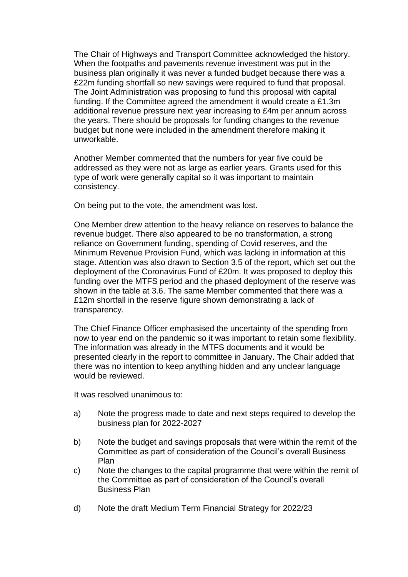The Chair of Highways and Transport Committee acknowledged the history. When the footpaths and pavements revenue investment was put in the business plan originally it was never a funded budget because there was a £22m funding shortfall so new savings were required to fund that proposal. The Joint Administration was proposing to fund this proposal with capital funding. If the Committee agreed the amendment it would create a £1.3m additional revenue pressure next year increasing to £4m per annum across the years. There should be proposals for funding changes to the revenue budget but none were included in the amendment therefore making it unworkable.

Another Member commented that the numbers for year five could be addressed as they were not as large as earlier years. Grants used for this type of work were generally capital so it was important to maintain consistency.

On being put to the vote, the amendment was lost.

One Member drew attention to the heavy reliance on reserves to balance the revenue budget. There also appeared to be no transformation, a strong reliance on Government funding, spending of Covid reserves, and the Minimum Revenue Provision Fund, which was lacking in information at this stage. Attention was also drawn to Section 3.5 of the report, which set out the deployment of the Coronavirus Fund of £20m. It was proposed to deploy this funding over the MTFS period and the phased deployment of the reserve was shown in the table at 3.6. The same Member commented that there was a £12m shortfall in the reserve figure shown demonstrating a lack of transparency.

The Chief Finance Officer emphasised the uncertainty of the spending from now to year end on the pandemic so it was important to retain some flexibility. The information was already in the MTFS documents and it would be presented clearly in the report to committee in January. The Chair added that there was no intention to keep anything hidden and any unclear language would be reviewed.

It was resolved unanimous to:

- a) Note the progress made to date and next steps required to develop the business plan for 2022-2027
- b) Note the budget and savings proposals that were within the remit of the Committee as part of consideration of the Council's overall Business Plan
- c) Note the changes to the capital programme that were within the remit of the Committee as part of consideration of the Council's overall Business Plan
- d) Note the draft Medium Term Financial Strategy for 2022/23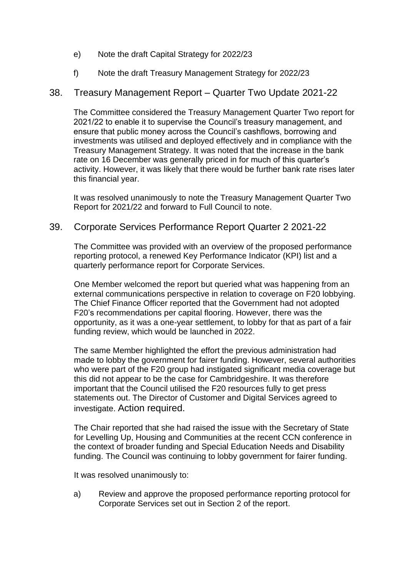- e) Note the draft Capital Strategy for 2022/23
- f) Note the draft Treasury Management Strategy for 2022/23

# 38. Treasury Management Report – Quarter Two Update 2021-22

The Committee considered the Treasury Management Quarter Two report for 2021/22 to enable it to supervise the Council's treasury management, and ensure that public money across the Council's cashflows, borrowing and investments was utilised and deployed effectively and in compliance with the Treasury Management Strategy. It was noted that the increase in the bank rate on 16 December was generally priced in for much of this quarter's activity. However, it was likely that there would be further bank rate rises later this financial year.

It was resolved unanimously to note the Treasury Management Quarter Two Report for 2021/22 and forward to Full Council to note.

## 39. Corporate Services Performance Report Quarter 2 2021-22

The Committee was provided with an overview of the proposed performance reporting protocol, a renewed Key Performance Indicator (KPI) list and a quarterly performance report for Corporate Services.

One Member welcomed the report but queried what was happening from an external communications perspective in relation to coverage on F20 lobbying. The Chief Finance Officer reported that the Government had not adopted F20's recommendations per capital flooring. However, there was the opportunity, as it was a one-year settlement, to lobby for that as part of a fair funding review, which would be launched in 2022.

The same Member highlighted the effort the previous administration had made to lobby the government for fairer funding. However, several authorities who were part of the F20 group had instigated significant media coverage but this did not appear to be the case for Cambridgeshire. It was therefore important that the Council utilised the F20 resources fully to get press statements out. The Director of Customer and Digital Services agreed to investigate. Action required.

The Chair reported that she had raised the issue with the Secretary of State for Levelling Up, Housing and Communities at the recent CCN conference in the context of broader funding and Special Education Needs and Disability funding. The Council was continuing to lobby government for fairer funding.

It was resolved unanimously to:

a) Review and approve the proposed performance reporting protocol for Corporate Services set out in Section 2 of the report.